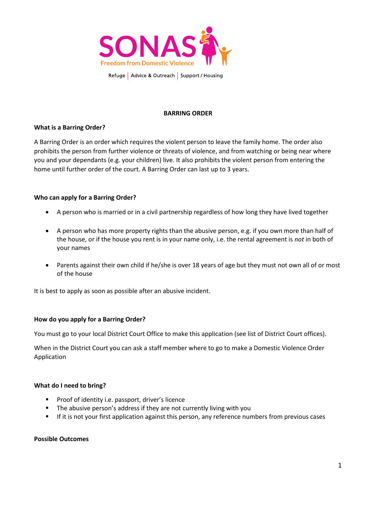

# **BARRING ORDER**

## **What is a Barring Order?**

A Barring Order is an order which requires the violent person to leave the family home. The order also prohibits the person from further violence or threats of violence, and from watching or being near where you and your dependants (e.g. your children) live. It also prohibits the violent person from entering the home until further order of the court. A Barring Order can last up to 3 years.

#### **Who can apply for a Barring Order?**

- A person who is married or in a civil partnership regardless of how long they have lived together
- A person who has more property rights than the abusive person, e.g. if you own more than half of the house, or if the house you rent is in your name only, i.e. the rental agreement is *not* in both of your names
- Parents against their own child if he/she is over 18 years of age but they must not own all of or most of the house

It is best to apply as soon as possible after an abusive incident.

## **How do you apply for a Barring Order?**

You must go to your local District Court Office to make this application (see list of District Court offices).

When in the District Court you can ask a staff member where to go to make a Domestic Violence Order Application

#### **What do I need to bring?**

- **Proof of identity i.e. passport, driver's licence**
- **The abusive person's address if they are not currently living with you**
- **If it is not your first application against this person, any reference numbers from previous cases**

### **Possible Outcomes**